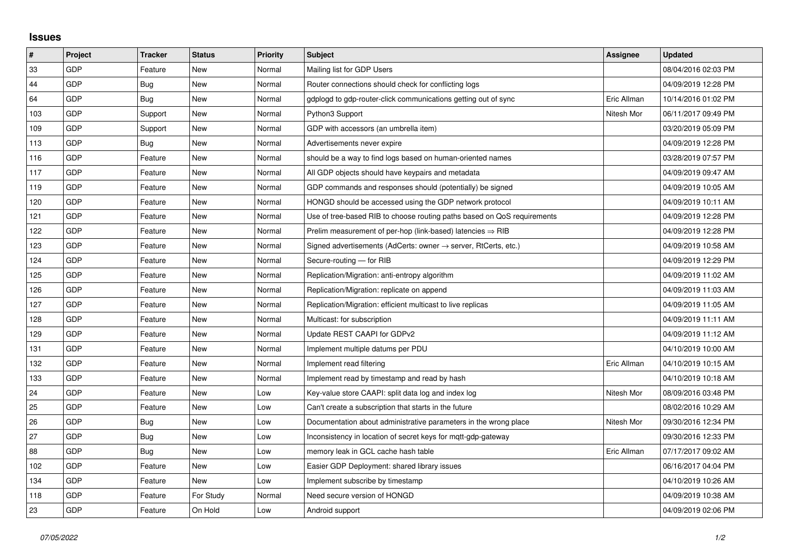## **Issues**

| $\sharp$ | Project    | <b>Tracker</b> | <b>Status</b> | <b>Priority</b> | <b>Subject</b>                                                          | Assignee    | <b>Updated</b>      |
|----------|------------|----------------|---------------|-----------------|-------------------------------------------------------------------------|-------------|---------------------|
| 33       | <b>GDP</b> | Feature        | <b>New</b>    | Normal          | Mailing list for GDP Users                                              |             | 08/04/2016 02:03 PM |
| 44       | <b>GDP</b> | Bug            | <b>New</b>    | Normal          | Router connections should check for conflicting logs                    |             | 04/09/2019 12:28 PM |
| 64       | GDP        | Bug            | <b>New</b>    | Normal          | gdplogd to gdp-router-click communications getting out of sync          | Eric Allman | 10/14/2016 01:02 PM |
| 103      | GDP        | Support        | <b>New</b>    | Normal          | Python3 Support                                                         | Nitesh Mor  | 06/11/2017 09:49 PM |
| 109      | <b>GDP</b> | Support        | <b>New</b>    | Normal          | GDP with accessors (an umbrella item)                                   |             | 03/20/2019 05:09 PM |
| 113      | <b>GDP</b> | Bug            | New           | Normal          | Advertisements never expire                                             |             | 04/09/2019 12:28 PM |
| 116      | GDP        | Feature        | <b>New</b>    | Normal          | should be a way to find logs based on human-oriented names              |             | 03/28/2019 07:57 PM |
| 117      | <b>GDP</b> | Feature        | New           | Normal          | All GDP objects should have keypairs and metadata                       |             | 04/09/2019 09:47 AM |
| 119      | <b>GDP</b> | Feature        | <b>New</b>    | Normal          | GDP commands and responses should (potentially) be signed               |             | 04/09/2019 10:05 AM |
| 120      | <b>GDP</b> | Feature        | <b>New</b>    | Normal          | HONGD should be accessed using the GDP network protocol                 |             | 04/09/2019 10:11 AM |
| 121      | <b>GDP</b> | Feature        | <b>New</b>    | Normal          | Use of tree-based RIB to choose routing paths based on QoS requirements |             | 04/09/2019 12:28 PM |
| 122      | <b>GDP</b> | Feature        | <b>New</b>    | Normal          | Prelim measurement of per-hop (link-based) latencies ⇒ RIB              |             | 04/09/2019 12:28 PM |
| 123      | GDP        | Feature        | <b>New</b>    | Normal          | Signed advertisements (AdCerts: owner → server, RtCerts, etc.)          |             | 04/09/2019 10:58 AM |
| 124      | GDP        | Feature        | <b>New</b>    | Normal          | Secure-routing - for RIB                                                |             | 04/09/2019 12:29 PM |
| 125      | <b>GDP</b> | Feature        | <b>New</b>    | Normal          | Replication/Migration: anti-entropy algorithm                           |             | 04/09/2019 11:02 AM |
| 126      | <b>GDP</b> | Feature        | <b>New</b>    | Normal          | Replication/Migration: replicate on append                              |             | 04/09/2019 11:03 AM |
| 127      | <b>GDP</b> | Feature        | <b>New</b>    | Normal          | Replication/Migration: efficient multicast to live replicas             |             | 04/09/2019 11:05 AM |
| 128      | <b>GDP</b> | Feature        | <b>New</b>    | Normal          | Multicast: for subscription                                             |             | 04/09/2019 11:11 AM |
| 129      | <b>GDP</b> | Feature        | <b>New</b>    | Normal          | Update REST CAAPI for GDPv2                                             |             | 04/09/2019 11:12 AM |
| 131      | GDP        | Feature        | <b>New</b>    | Normal          | Implement multiple datums per PDU                                       |             | 04/10/2019 10:00 AM |
| 132      | <b>GDP</b> | Feature        | <b>New</b>    | Normal          | Implement read filtering                                                | Eric Allman | 04/10/2019 10:15 AM |
| 133      | <b>GDP</b> | Feature        | <b>New</b>    | Normal          | Implement read by timestamp and read by hash                            |             | 04/10/2019 10:18 AM |
| 24       | GDP        | Feature        | <b>New</b>    | Low             | Key-value store CAAPI: split data log and index log                     | Nitesh Mor  | 08/09/2016 03:48 PM |
| 25       | <b>GDP</b> | Feature        | <b>New</b>    | Low             | Can't create a subscription that starts in the future                   |             | 08/02/2016 10:29 AM |
| 26       | <b>GDP</b> | <b>Bug</b>     | <b>New</b>    | Low             | Documentation about administrative parameters in the wrong place        | Nitesh Mor  | 09/30/2016 12:34 PM |
| 27       | <b>GDP</b> | Bug            | <b>New</b>    | Low             | Inconsistency in location of secret keys for mqtt-gdp-gateway           |             | 09/30/2016 12:33 PM |
| 88       | GDP        | Bug            | <b>New</b>    | Low             | memory leak in GCL cache hash table                                     | Eric Allman | 07/17/2017 09:02 AM |
| 102      | <b>GDP</b> | Feature        | <b>New</b>    | Low             | Easier GDP Deployment: shared library issues                            |             | 06/16/2017 04:04 PM |
| 134      | <b>GDP</b> | Feature        | <b>New</b>    | Low             | Implement subscribe by timestamp                                        |             | 04/10/2019 10:26 AM |
| 118      | <b>GDP</b> | Feature        | For Study     | Normal          | Need secure version of HONGD                                            |             | 04/09/2019 10:38 AM |
| 23       | GDP        | Feature        | On Hold       | Low             | Android support                                                         |             | 04/09/2019 02:06 PM |